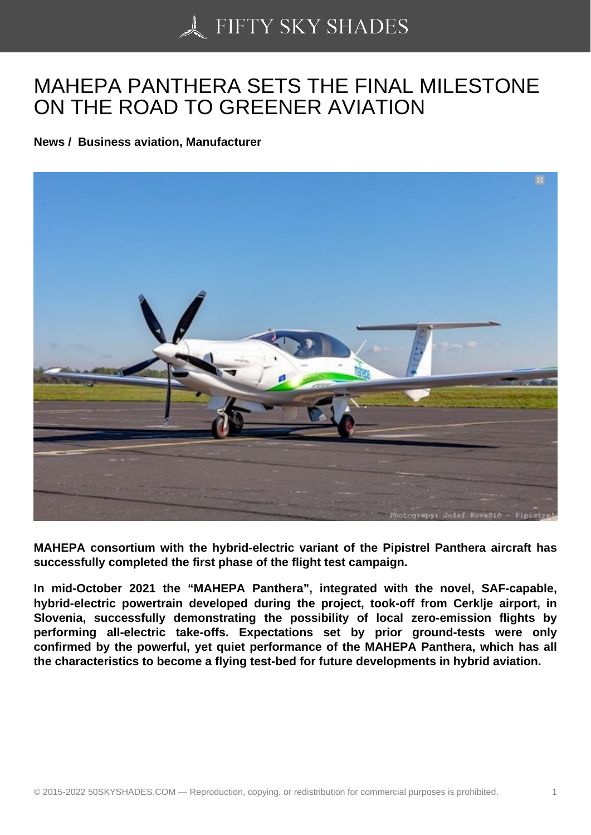## [MAHEPA PANTHERA](https://50skyshades.com) SETS THE FINAL MILESTONE ON THE ROAD TO GREENER AVIATION

News / Business aviation, Manufacturer

MAHEPA consortium with the hybrid-electric variant of the Pipistrel Panthera aircraft has successfully completed the first phase of the flight test campaign.

In mid-October 2021 the "MAHEPA Panthera", integrated with the novel, SAF-capable, hybrid-electric powertrain developed during the project, took-off from Cerklje airport, in Slovenia, successfully demonstrating the possibility of local zero-emission flights by performing all-electric take-offs. Expectations set by prior ground-tests were only confirmed by the powerful, yet quiet performance of the MAHEPA Panthera, which has all the characteristics to become a flying test-bed for future developments in hybrid aviation.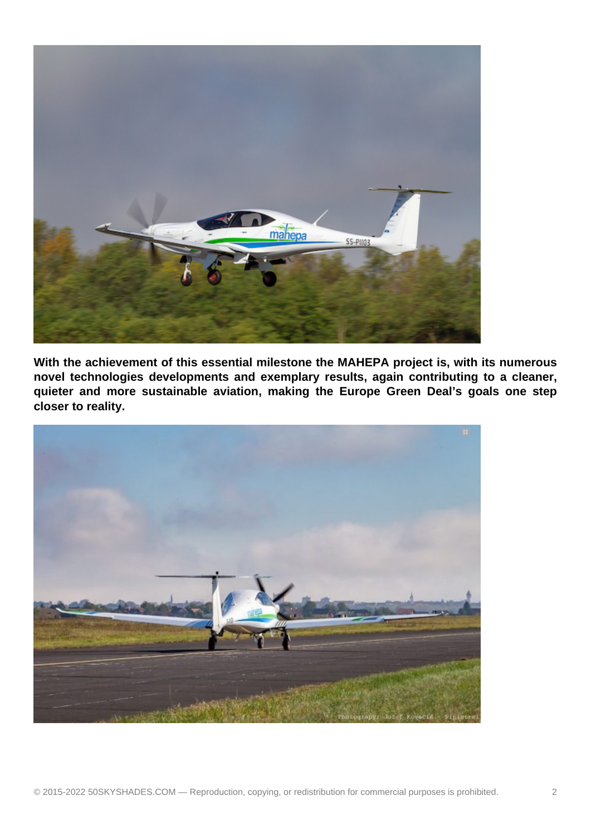

**With the achievement of this essential milestone the MAHEPA project is, with its numerous novel technologies developments and exemplary results, again contributing to a cleaner, quieter and more sustainable aviation, making the Europe Green Deal's goals one step closer to reality.**